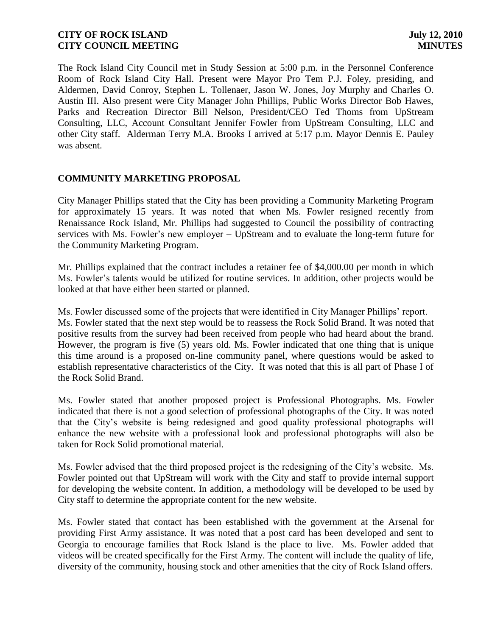The Rock Island City Council met in Study Session at 5:00 p.m. in the Personnel Conference Room of Rock Island City Hall. Present were Mayor Pro Tem P.J. Foley, presiding, and Aldermen, David Conroy, Stephen L. Tollenaer, Jason W. Jones, Joy Murphy and Charles O. Austin III. Also present were City Manager John Phillips, Public Works Director Bob Hawes, Parks and Recreation Director Bill Nelson, President/CEO Ted Thoms from UpStream Consulting, LLC, Account Consultant Jennifer Fowler from UpStream Consulting, LLC and other City staff. Alderman Terry M.A. Brooks I arrived at 5:17 p.m. Mayor Dennis E. Pauley was absent.

### **COMMUNITY MARKETING PROPOSAL**

City Manager Phillips stated that the City has been providing a Community Marketing Program for approximately 15 years. It was noted that when Ms. Fowler resigned recently from Renaissance Rock Island, Mr. Phillips had suggested to Council the possibility of contracting services with Ms. Fowler's new employer – UpStream and to evaluate the long-term future for the Community Marketing Program.

Mr. Phillips explained that the contract includes a retainer fee of \$4,000.00 per month in which Ms. Fowler's talents would be utilized for routine services. In addition, other projects would be looked at that have either been started or planned.

Ms. Fowler discussed some of the projects that were identified in City Manager Phillips' report. Ms. Fowler stated that the next step would be to reassess the Rock Solid Brand. It was noted that positive results from the survey had been received from people who had heard about the brand. However, the program is five (5) years old. Ms. Fowler indicated that one thing that is unique this time around is a proposed on-line community panel, where questions would be asked to establish representative characteristics of the City. It was noted that this is all part of Phase I of the Rock Solid Brand.

Ms. Fowler stated that another proposed project is Professional Photographs. Ms. Fowler indicated that there is not a good selection of professional photographs of the City. It was noted that the City's website is being redesigned and good quality professional photographs will enhance the new website with a professional look and professional photographs will also be taken for Rock Solid promotional material.

Ms. Fowler advised that the third proposed project is the redesigning of the City's website. Ms. Fowler pointed out that UpStream will work with the City and staff to provide internal support for developing the website content. In addition, a methodology will be developed to be used by City staff to determine the appropriate content for the new website.

Ms. Fowler stated that contact has been established with the government at the Arsenal for providing First Army assistance. It was noted that a post card has been developed and sent to Georgia to encourage families that Rock Island is the place to live. Ms. Fowler added that videos will be created specifically for the First Army. The content will include the quality of life, diversity of the community, housing stock and other amenities that the city of Rock Island offers.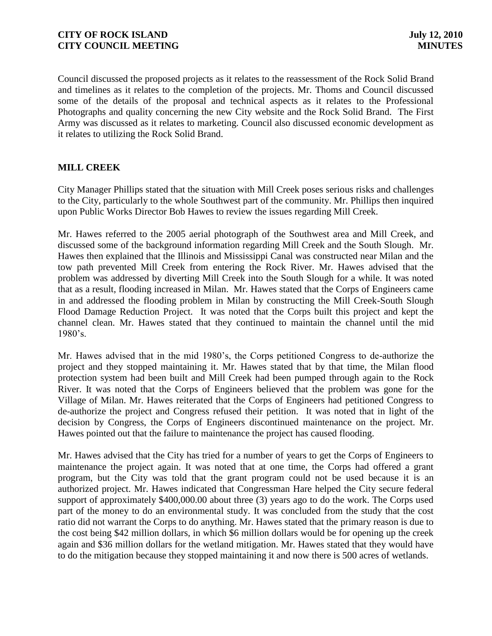Council discussed the proposed projects as it relates to the reassessment of the Rock Solid Brand and timelines as it relates to the completion of the projects. Mr. Thoms and Council discussed some of the details of the proposal and technical aspects as it relates to the Professional Photographs and quality concerning the new City website and the Rock Solid Brand. The First Army was discussed as it relates to marketing. Council also discussed economic development as it relates to utilizing the Rock Solid Brand.

# **MILL CREEK**

City Manager Phillips stated that the situation with Mill Creek poses serious risks and challenges to the City, particularly to the whole Southwest part of the community. Mr. Phillips then inquired upon Public Works Director Bob Hawes to review the issues regarding Mill Creek.

Mr. Hawes referred to the 2005 aerial photograph of the Southwest area and Mill Creek, and discussed some of the background information regarding Mill Creek and the South Slough. Mr. Hawes then explained that the Illinois and Mississippi Canal was constructed near Milan and the tow path prevented Mill Creek from entering the Rock River. Mr. Hawes advised that the problem was addressed by diverting Mill Creek into the South Slough for a while. It was noted that as a result, flooding increased in Milan. Mr. Hawes stated that the Corps of Engineers came in and addressed the flooding problem in Milan by constructing the Mill Creek-South Slough Flood Damage Reduction Project. It was noted that the Corps built this project and kept the channel clean. Mr. Hawes stated that they continued to maintain the channel until the mid 1980's.

Mr. Hawes advised that in the mid 1980's, the Corps petitioned Congress to de-authorize the project and they stopped maintaining it. Mr. Hawes stated that by that time, the Milan flood protection system had been built and Mill Creek had been pumped through again to the Rock River. It was noted that the Corps of Engineers believed that the problem was gone for the Village of Milan. Mr. Hawes reiterated that the Corps of Engineers had petitioned Congress to de-authorize the project and Congress refused their petition. It was noted that in light of the decision by Congress, the Corps of Engineers discontinued maintenance on the project. Mr. Hawes pointed out that the failure to maintenance the project has caused flooding.

Mr. Hawes advised that the City has tried for a number of years to get the Corps of Engineers to maintenance the project again. It was noted that at one time, the Corps had offered a grant program, but the City was told that the grant program could not be used because it is an authorized project. Mr. Hawes indicated that Congressman Hare helped the City secure federal support of approximately \$400,000.00 about three (3) years ago to do the work. The Corps used part of the money to do an environmental study. It was concluded from the study that the cost ratio did not warrant the Corps to do anything. Mr. Hawes stated that the primary reason is due to the cost being \$42 million dollars, in which \$6 million dollars would be for opening up the creek again and \$36 million dollars for the wetland mitigation. Mr. Hawes stated that they would have to do the mitigation because they stopped maintaining it and now there is 500 acres of wetlands.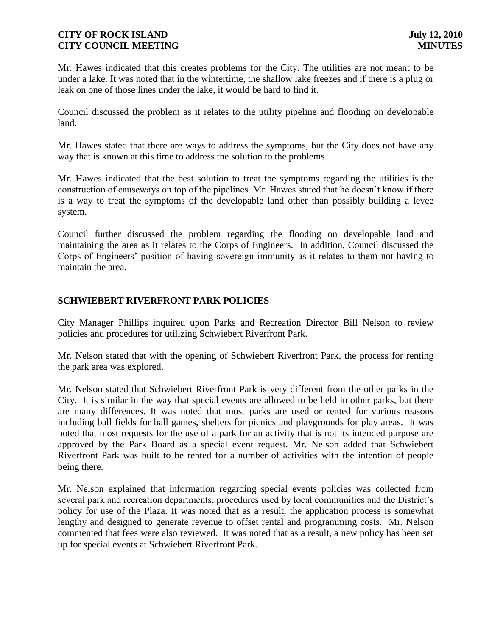Mr. Hawes indicated that this creates problems for the City. The utilities are not meant to be under a lake. It was noted that in the wintertime, the shallow lake freezes and if there is a plug or leak on one of those lines under the lake, it would be hard to find it.

Council discussed the problem as it relates to the utility pipeline and flooding on developable land.

Mr. Hawes stated that there are ways to address the symptoms, but the City does not have any way that is known at this time to address the solution to the problems.

Mr. Hawes indicated that the best solution to treat the symptoms regarding the utilities is the construction of causeways on top of the pipelines. Mr. Hawes stated that he doesn't know if there is a way to treat the symptoms of the developable land other than possibly building a levee system.

Council further discussed the problem regarding the flooding on developable land and maintaining the area as it relates to the Corps of Engineers. In addition, Council discussed the Corps of Engineers' position of having sovereign immunity as it relates to them not having to maintain the area.

# **SCHWIEBERT RIVERFRONT PARK POLICIES**

City Manager Phillips inquired upon Parks and Recreation Director Bill Nelson to review policies and procedures for utilizing Schwiebert Riverfront Park.

Mr. Nelson stated that with the opening of Schwiebert Riverfront Park, the process for renting the park area was explored.

Mr. Nelson stated that Schwiebert Riverfront Park is very different from the other parks in the City. It is similar in the way that special events are allowed to be held in other parks, but there are many differences. It was noted that most parks are used or rented for various reasons including ball fields for ball games, shelters for picnics and playgrounds for play areas. It was noted that most requests for the use of a park for an activity that is not its intended purpose are approved by the Park Board as a special event request. Mr. Nelson added that Schwiebert Riverfront Park was built to be rented for a number of activities with the intention of people being there.

Mr. Nelson explained that information regarding special events policies was collected from several park and recreation departments, procedures used by local communities and the District's policy for use of the Plaza. It was noted that as a result, the application process is somewhat lengthy and designed to generate revenue to offset rental and programming costs. Mr. Nelson commented that fees were also reviewed. It was noted that as a result, a new policy has been set up for special events at Schwiebert Riverfront Park.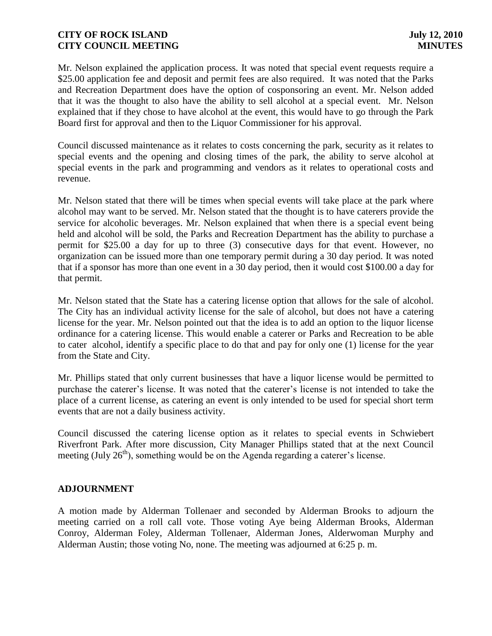Mr. Nelson explained the application process. It was noted that special event requests require a \$25.00 application fee and deposit and permit fees are also required. It was noted that the Parks and Recreation Department does have the option of cosponsoring an event. Mr. Nelson added that it was the thought to also have the ability to sell alcohol at a special event. Mr. Nelson explained that if they chose to have alcohol at the event, this would have to go through the Park Board first for approval and then to the Liquor Commissioner for his approval.

Council discussed maintenance as it relates to costs concerning the park, security as it relates to special events and the opening and closing times of the park, the ability to serve alcohol at special events in the park and programming and vendors as it relates to operational costs and revenue.

Mr. Nelson stated that there will be times when special events will take place at the park where alcohol may want to be served. Mr. Nelson stated that the thought is to have caterers provide the service for alcoholic beverages. Mr. Nelson explained that when there is a special event being held and alcohol will be sold, the Parks and Recreation Department has the ability to purchase a permit for \$25.00 a day for up to three (3) consecutive days for that event. However, no organization can be issued more than one temporary permit during a 30 day period. It was noted that if a sponsor has more than one event in a 30 day period, then it would cost \$100.00 a day for that permit.

Mr. Nelson stated that the State has a catering license option that allows for the sale of alcohol. The City has an individual activity license for the sale of alcohol, but does not have a catering license for the year. Mr. Nelson pointed out that the idea is to add an option to the liquor license ordinance for a catering license. This would enable a caterer or Parks and Recreation to be able to cater alcohol, identify a specific place to do that and pay for only one (1) license for the year from the State and City.

Mr. Phillips stated that only current businesses that have a liquor license would be permitted to purchase the caterer's license. It was noted that the caterer's license is not intended to take the place of a current license, as catering an event is only intended to be used for special short term events that are not a daily business activity.

Council discussed the catering license option as it relates to special events in Schwiebert Riverfront Park. After more discussion, City Manager Phillips stated that at the next Council meeting (July  $26<sup>th</sup>$ ), something would be on the Agenda regarding a caterer's license.

### **ADJOURNMENT**

A motion made by Alderman Tollenaer and seconded by Alderman Brooks to adjourn the meeting carried on a roll call vote. Those voting Aye being Alderman Brooks, Alderman Conroy, Alderman Foley, Alderman Tollenaer, Alderman Jones, Alderwoman Murphy and Alderman Austin; those voting No, none. The meeting was adjourned at 6:25 p. m.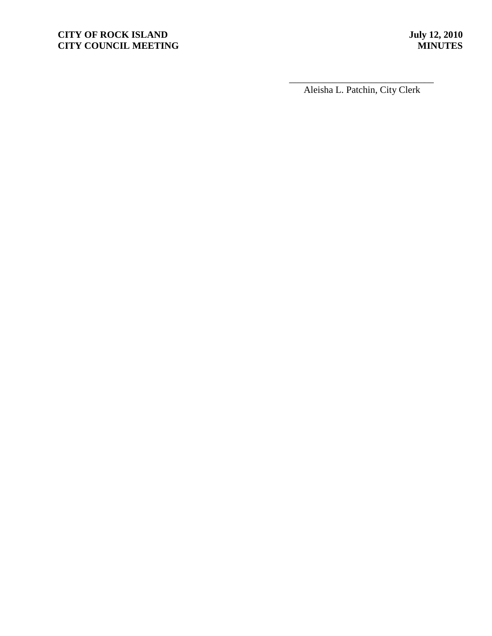# **CITY OF ROCK ISLAND** July 12, 2010<br> **CITY COUNCIL MEETING CITY COUNCIL MEETING**

\_\_\_\_\_\_\_\_\_\_\_\_\_\_\_\_\_\_\_\_\_\_\_\_\_\_\_\_\_\_ Aleisha L. Patchin, City Clerk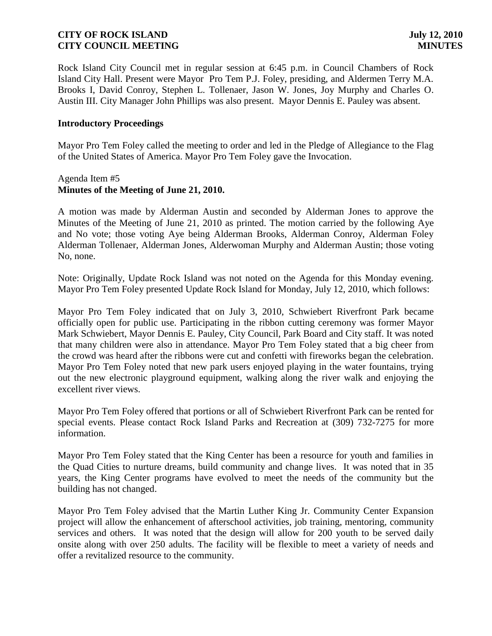Rock Island City Council met in regular session at 6:45 p.m. in Council Chambers of Rock Island City Hall. Present were Mayor Pro Tem P.J. Foley, presiding, and Aldermen Terry M.A. Brooks I, David Conroy, Stephen L. Tollenaer, Jason W. Jones, Joy Murphy and Charles O. Austin III. City Manager John Phillips was also present. Mayor Dennis E. Pauley was absent.

### **Introductory Proceedings**

Mayor Pro Tem Foley called the meeting to order and led in the Pledge of Allegiance to the Flag of the United States of America. Mayor Pro Tem Foley gave the Invocation.

### Agenda Item #5 **Minutes of the Meeting of June 21, 2010.**

A motion was made by Alderman Austin and seconded by Alderman Jones to approve the Minutes of the Meeting of June 21, 2010 as printed. The motion carried by the following Aye and No vote; those voting Aye being Alderman Brooks, Alderman Conroy, Alderman Foley Alderman Tollenaer, Alderman Jones, Alderwoman Murphy and Alderman Austin; those voting No, none.

Note: Originally, Update Rock Island was not noted on the Agenda for this Monday evening. Mayor Pro Tem Foley presented Update Rock Island for Monday, July 12, 2010, which follows:

Mayor Pro Tem Foley indicated that on July 3, 2010, Schwiebert Riverfront Park became officially open for public use. Participating in the ribbon cutting ceremony was former Mayor Mark Schwiebert, Mayor Dennis E. Pauley, City Council, Park Board and City staff. It was noted that many children were also in attendance. Mayor Pro Tem Foley stated that a big cheer from the crowd was heard after the ribbons were cut and confetti with fireworks began the celebration. Mayor Pro Tem Foley noted that new park users enjoyed playing in the water fountains, trying out the new electronic playground equipment, walking along the river walk and enjoying the excellent river views.

Mayor Pro Tem Foley offered that portions or all of Schwiebert Riverfront Park can be rented for special events. Please contact Rock Island Parks and Recreation at (309) 732-7275 for more information.

Mayor Pro Tem Foley stated that the King Center has been a resource for youth and families in the Quad Cities to nurture dreams, build community and change lives. It was noted that in 35 years, the King Center programs have evolved to meet the needs of the community but the building has not changed.

Mayor Pro Tem Foley advised that the Martin Luther King Jr. Community Center Expansion project will allow the enhancement of afterschool activities, job training, mentoring, community services and others. It was noted that the design will allow for 200 youth to be served daily onsite along with over 250 adults. The facility will be flexible to meet a variety of needs and offer a revitalized resource to the community.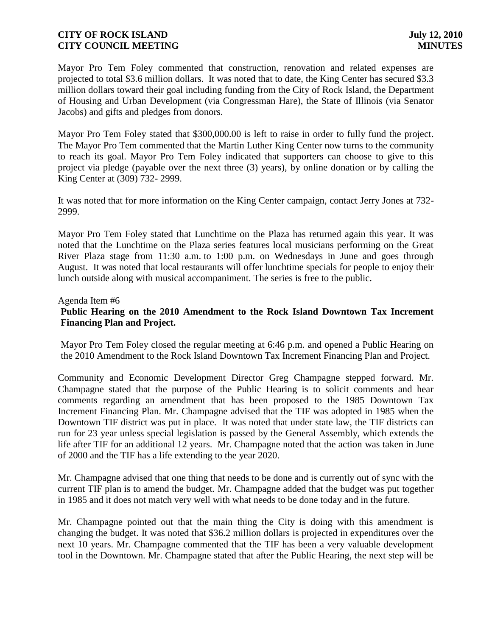Mayor Pro Tem Foley commented that construction, renovation and related expenses are projected to total \$3.6 million dollars. It was noted that to date, the King Center has secured \$3.3 million dollars toward their goal including funding from the City of Rock Island, the Department of Housing and Urban Development (via Congressman Hare), the State of Illinois (via Senator Jacobs) and gifts and pledges from donors.

Mayor Pro Tem Foley stated that \$300,000.00 is left to raise in order to fully fund the project. The Mayor Pro Tem commented that the Martin Luther King Center now turns to the community to reach its goal. Mayor Pro Tem Foley indicated that supporters can choose to give to this project via pledge (payable over the next three (3) years), by online donation or by calling the King Center at (309) 732- 2999.

It was noted that for more information on the King Center campaign, contact Jerry Jones at 732- 2999.

Mayor Pro Tem Foley stated that Lunchtime on the Plaza has returned again this year. It was noted that the Lunchtime on the Plaza series features local musicians performing on the Great River Plaza stage from 11:30 a.m. to 1:00 p.m. on Wednesdays in June and goes through August. It was noted that local restaurants will offer lunchtime specials for people to enjoy their lunch outside along with musical accompaniment. The series is free to the public.

### Agenda Item #6

# **Public Hearing on the 2010 Amendment to the Rock Island Downtown Tax Increment Financing Plan and Project.**

Mayor Pro Tem Foley closed the regular meeting at 6:46 p.m. and opened a Public Hearing on the 2010 Amendment to the Rock Island Downtown Tax Increment Financing Plan and Project.

Community and Economic Development Director Greg Champagne stepped forward. Mr. Champagne stated that the purpose of the Public Hearing is to solicit comments and hear comments regarding an amendment that has been proposed to the 1985 Downtown Tax Increment Financing Plan. Mr. Champagne advised that the TIF was adopted in 1985 when the Downtown TIF district was put in place. It was noted that under state law, the TIF districts can run for 23 year unless special legislation is passed by the General Assembly, which extends the life after TIF for an additional 12 years. Mr. Champagne noted that the action was taken in June of 2000 and the TIF has a life extending to the year 2020.

Mr. Champagne advised that one thing that needs to be done and is currently out of sync with the current TIF plan is to amend the budget. Mr. Champagne added that the budget was put together in 1985 and it does not match very well with what needs to be done today and in the future.

Mr. Champagne pointed out that the main thing the City is doing with this amendment is changing the budget. It was noted that \$36.2 million dollars is projected in expenditures over the next 10 years. Mr. Champagne commented that the TIF has been a very valuable development tool in the Downtown. Mr. Champagne stated that after the Public Hearing, the next step will be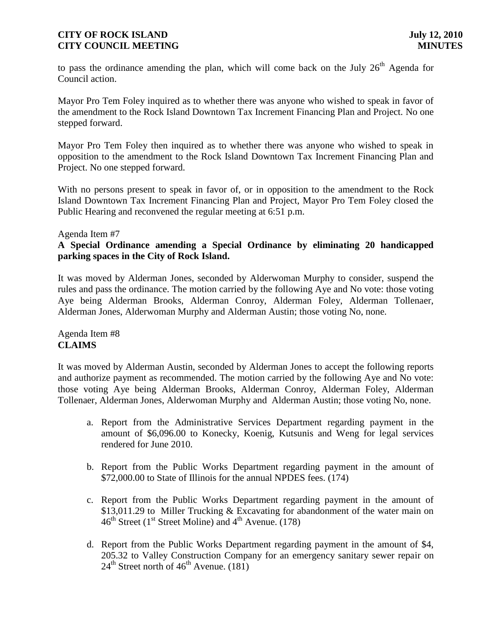to pass the ordinance amending the plan, which will come back on the July  $26<sup>th</sup>$  Agenda for Council action.

Mayor Pro Tem Foley inquired as to whether there was anyone who wished to speak in favor of the amendment to the Rock Island Downtown Tax Increment Financing Plan and Project. No one stepped forward.

Mayor Pro Tem Foley then inquired as to whether there was anyone who wished to speak in opposition to the amendment to the Rock Island Downtown Tax Increment Financing Plan and Project. No one stepped forward.

With no persons present to speak in favor of, or in opposition to the amendment to the Rock Island Downtown Tax Increment Financing Plan and Project, Mayor Pro Tem Foley closed the Public Hearing and reconvened the regular meeting at 6:51 p.m.

### Agenda Item #7

# **A Special Ordinance amending a Special Ordinance by eliminating 20 handicapped parking spaces in the City of Rock Island.**

It was moved by Alderman Jones, seconded by Alderwoman Murphy to consider, suspend the rules and pass the ordinance. The motion carried by the following Aye and No vote: those voting Aye being Alderman Brooks, Alderman Conroy, Alderman Foley, Alderman Tollenaer, Alderman Jones, Alderwoman Murphy and Alderman Austin; those voting No, none.

# Agenda Item #8 **CLAIMS**

It was moved by Alderman Austin, seconded by Alderman Jones to accept the following reports and authorize payment as recommended. The motion carried by the following Aye and No vote: those voting Aye being Alderman Brooks, Alderman Conroy, Alderman Foley, Alderman Tollenaer, Alderman Jones, Alderwoman Murphy and Alderman Austin; those voting No, none.

- a. Report from the Administrative Services Department regarding payment in the amount of \$6,096.00 to Konecky, Koenig, Kutsunis and Weng for legal services rendered for June 2010.
- b. Report from the Public Works Department regarding payment in the amount of \$72,000.00 to State of Illinois for the annual NPDES fees. (174)
- c. Report from the Public Works Department regarding payment in the amount of \$13,011.29 to Miller Trucking & Excavating for abandonment of the water main on  $46<sup>th</sup>$  Street (1<sup>st</sup> Street Moline) and  $4<sup>th</sup>$  Avenue. (178)
- d. Report from the Public Works Department regarding payment in the amount of \$4, 205.32 to Valley Construction Company for an emergency sanitary sewer repair on  $24<sup>th</sup>$  Street north of  $46<sup>th</sup>$  Avenue. (181)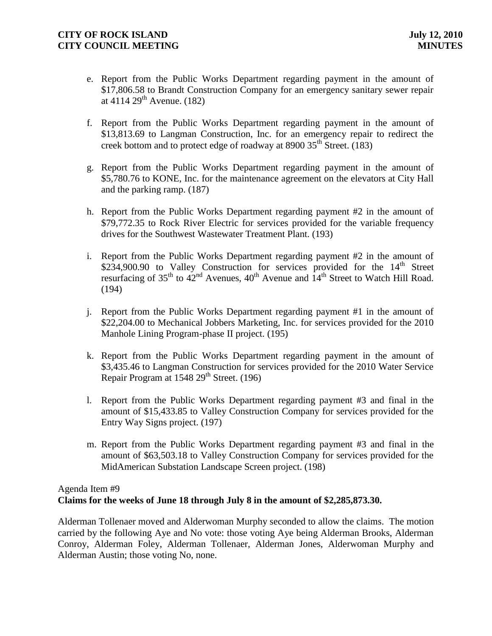- e. Report from the Public Works Department regarding payment in the amount of \$17,806.58 to Brandt Construction Company for an emergency sanitary sewer repair at  $4114 \, 29^{th}$  Avenue. (182)
- f. Report from the Public Works Department regarding payment in the amount of \$13,813.69 to Langman Construction, Inc. for an emergency repair to redirect the creek bottom and to protect edge of roadway at 8900 35<sup>th</sup> Street. (183)
- g. Report from the Public Works Department regarding payment in the amount of \$5,780.76 to KONE, Inc. for the maintenance agreement on the elevators at City Hall and the parking ramp. (187)
- h. Report from the Public Works Department regarding payment #2 in the amount of \$79,772.35 to Rock River Electric for services provided for the variable frequency drives for the Southwest Wastewater Treatment Plant. (193)
- i. Report from the Public Works Department regarding payment #2 in the amount of  $$234,900.90$  to Valley Construction for services provided for the  $14<sup>th</sup>$  Street resurfacing of  $35<sup>th</sup>$  to  $42<sup>nd</sup>$  Avenues,  $40<sup>th</sup>$  Avenue and  $14<sup>th</sup>$  Street to Watch Hill Road. (194)
- j. Report from the Public Works Department regarding payment #1 in the amount of \$22,204.00 to Mechanical Jobbers Marketing, Inc. for services provided for the 2010 Manhole Lining Program-phase II project. (195)
- k. Report from the Public Works Department regarding payment in the amount of \$3,435.46 to Langman Construction for services provided for the 2010 Water Service Repair Program at  $1548$   $29<sup>th</sup>$  Street. (196)
- l. Report from the Public Works Department regarding payment #3 and final in the amount of \$15,433.85 to Valley Construction Company for services provided for the Entry Way Signs project. (197)
- m. Report from the Public Works Department regarding payment #3 and final in the amount of \$63,503.18 to Valley Construction Company for services provided for the MidAmerican Substation Landscape Screen project. (198)

# Agenda Item #9 **Claims for the weeks of June 18 through July 8 in the amount of \$2,285,873.30.**

Alderman Tollenaer moved and Alderwoman Murphy seconded to allow the claims. The motion carried by the following Aye and No vote: those voting Aye being Alderman Brooks, Alderman Conroy, Alderman Foley, Alderman Tollenaer, Alderman Jones, Alderwoman Murphy and Alderman Austin; those voting No, none.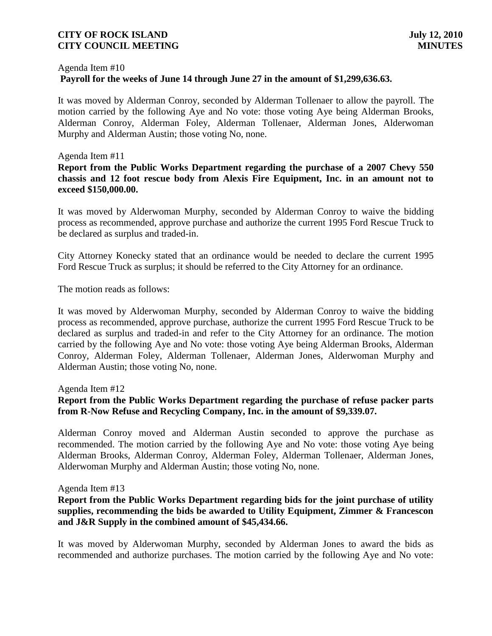#### Agenda Item #10

### **Payroll for the weeks of June 14 through June 27 in the amount of \$1,299,636.63.**

It was moved by Alderman Conroy, seconded by Alderman Tollenaer to allow the payroll. The motion carried by the following Aye and No vote: those voting Aye being Alderman Brooks, Alderman Conroy, Alderman Foley, Alderman Tollenaer, Alderman Jones, Alderwoman Murphy and Alderman Austin; those voting No, none.

#### Agenda Item #11

**Report from the Public Works Department regarding the purchase of a 2007 Chevy 550 chassis and 12 foot rescue body from Alexis Fire Equipment, Inc. in an amount not to exceed \$150,000.00.**

It was moved by Alderwoman Murphy, seconded by Alderman Conroy to waive the bidding process as recommended, approve purchase and authorize the current 1995 Ford Rescue Truck to be declared as surplus and traded-in.

City Attorney Konecky stated that an ordinance would be needed to declare the current 1995 Ford Rescue Truck as surplus; it should be referred to the City Attorney for an ordinance.

The motion reads as follows:

It was moved by Alderwoman Murphy, seconded by Alderman Conroy to waive the bidding process as recommended, approve purchase, authorize the current 1995 Ford Rescue Truck to be declared as surplus and traded-in and refer to the City Attorney for an ordinance. The motion carried by the following Aye and No vote: those voting Aye being Alderman Brooks, Alderman Conroy, Alderman Foley, Alderman Tollenaer, Alderman Jones, Alderwoman Murphy and Alderman Austin; those voting No, none.

Agenda Item #12

### **Report from the Public Works Department regarding the purchase of refuse packer parts from R-Now Refuse and Recycling Company, Inc. in the amount of \$9,339.07.**

Alderman Conroy moved and Alderman Austin seconded to approve the purchase as recommended. The motion carried by the following Aye and No vote: those voting Aye being Alderman Brooks, Alderman Conroy, Alderman Foley, Alderman Tollenaer, Alderman Jones, Alderwoman Murphy and Alderman Austin; those voting No, none.

#### Agenda Item #13

# **Report from the Public Works Department regarding bids for the joint purchase of utility supplies, recommending the bids be awarded to Utility Equipment, Zimmer & Francescon and J&R Supply in the combined amount of \$45,434.66.**

It was moved by Alderwoman Murphy, seconded by Alderman Jones to award the bids as recommended and authorize purchases. The motion carried by the following Aye and No vote: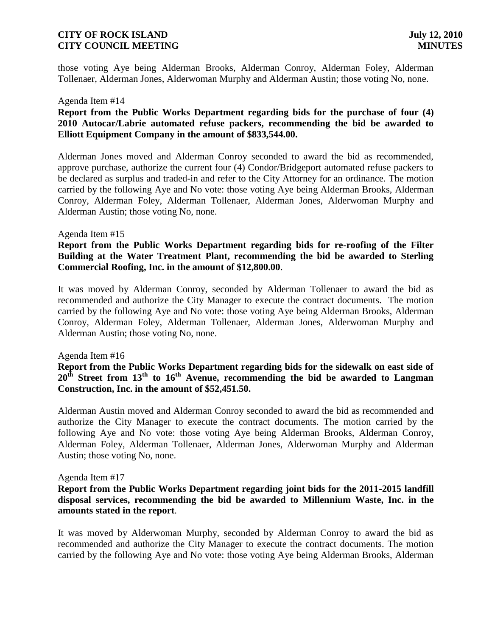those voting Aye being Alderman Brooks, Alderman Conroy, Alderman Foley, Alderman Tollenaer, Alderman Jones, Alderwoman Murphy and Alderman Austin; those voting No, none.

#### Agenda Item #14

# **Report from the Public Works Department regarding bids for the purchase of four (4) 2010 Autocar/Labrie automated refuse packers, recommending the bid be awarded to Elliott Equipment Company in the amount of \$833,544.00.**

Alderman Jones moved and Alderman Conroy seconded to award the bid as recommended, approve purchase, authorize the current four (4) Condor/Bridgeport automated refuse packers to be declared as surplus and traded-in and refer to the City Attorney for an ordinance. The motion carried by the following Aye and No vote: those voting Aye being Alderman Brooks, Alderman Conroy, Alderman Foley, Alderman Tollenaer, Alderman Jones, Alderwoman Murphy and Alderman Austin; those voting No, none.

#### Agenda Item #15

### **Report from the Public Works Department regarding bids for re-roofing of the Filter Building at the Water Treatment Plant, recommending the bid be awarded to Sterling Commercial Roofing, Inc. in the amount of \$12,800.00**.

It was moved by Alderman Conroy, seconded by Alderman Tollenaer to award the bid as recommended and authorize the City Manager to execute the contract documents. The motion carried by the following Aye and No vote: those voting Aye being Alderman Brooks, Alderman Conroy, Alderman Foley, Alderman Tollenaer, Alderman Jones, Alderwoman Murphy and Alderman Austin; those voting No, none.

#### Agenda Item #16

# **Report from the Public Works Department regarding bids for the sidewalk on east side of 20th Street from 13th to 16th Avenue, recommending the bid be awarded to Langman Construction, Inc. in the amount of \$52,451.50.**

Alderman Austin moved and Alderman Conroy seconded to award the bid as recommended and authorize the City Manager to execute the contract documents. The motion carried by the following Aye and No vote: those voting Aye being Alderman Brooks, Alderman Conroy, Alderman Foley, Alderman Tollenaer, Alderman Jones, Alderwoman Murphy and Alderman Austin; those voting No, none.

#### Agenda Item #17

### **Report from the Public Works Department regarding joint bids for the 2011-2015 landfill disposal services, recommending the bid be awarded to Millennium Waste, Inc. in the amounts stated in the report**.

It was moved by Alderwoman Murphy, seconded by Alderman Conroy to award the bid as recommended and authorize the City Manager to execute the contract documents. The motion carried by the following Aye and No vote: those voting Aye being Alderman Brooks, Alderman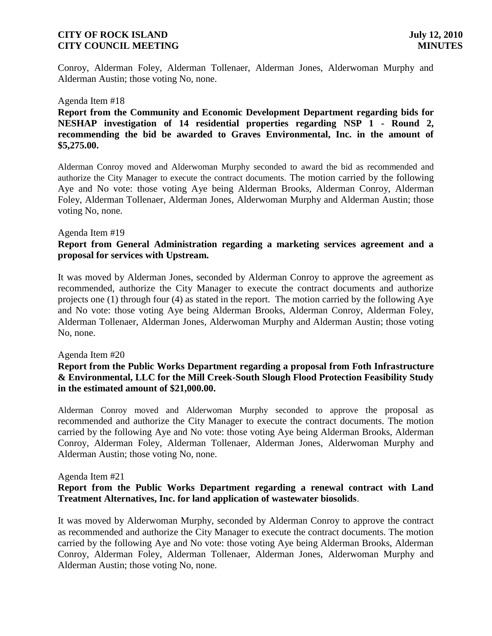Conroy, Alderman Foley, Alderman Tollenaer, Alderman Jones, Alderwoman Murphy and Alderman Austin; those voting No, none.

#### Agenda Item #18

**Report from the Community and Economic Development Department regarding bids for NESHAP investigation of 14 residential properties regarding NSP 1 - Round 2, recommending the bid be awarded to Graves Environmental, Inc. in the amount of \$5,275.00.**

Alderman Conroy moved and Alderwoman Murphy seconded to award the bid as recommended and authorize the City Manager to execute the contract documents. The motion carried by the following Aye and No vote: those voting Aye being Alderman Brooks, Alderman Conroy, Alderman Foley, Alderman Tollenaer, Alderman Jones, Alderwoman Murphy and Alderman Austin; those voting No, none.

#### Agenda Item #19

### **Report from General Administration regarding a marketing services agreement and a proposal for services with Upstream.**

It was moved by Alderman Jones, seconded by Alderman Conroy to approve the agreement as recommended, authorize the City Manager to execute the contract documents and authorize projects one (1) through four (4) as stated in the report. The motion carried by the following Aye and No vote: those voting Aye being Alderman Brooks, Alderman Conroy, Alderman Foley, Alderman Tollenaer, Alderman Jones, Alderwoman Murphy and Alderman Austin; those voting No, none.

#### Agenda Item #20

# **Report from the Public Works Department regarding a proposal from Foth Infrastructure & Environmental, LLC for the Mill Creek-South Slough Flood Protection Feasibility Study in the estimated amount of \$21,000.00.**

Alderman Conroy moved and Alderwoman Murphy seconded to approve the proposal as recommended and authorize the City Manager to execute the contract documents. The motion carried by the following Aye and No vote: those voting Aye being Alderman Brooks, Alderman Conroy, Alderman Foley, Alderman Tollenaer, Alderman Jones, Alderwoman Murphy and Alderman Austin; those voting No, none.

#### Agenda Item #21

### **Report from the Public Works Department regarding a renewal contract with Land Treatment Alternatives, Inc. for land application of wastewater biosolids**.

It was moved by Alderwoman Murphy, seconded by Alderman Conroy to approve the contract as recommended and authorize the City Manager to execute the contract documents. The motion carried by the following Aye and No vote: those voting Aye being Alderman Brooks, Alderman Conroy, Alderman Foley, Alderman Tollenaer, Alderman Jones, Alderwoman Murphy and Alderman Austin; those voting No, none.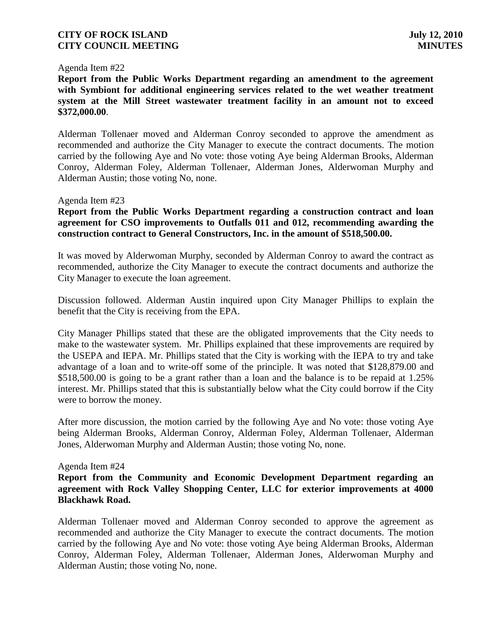#### Agenda Item #22

**Report from the Public Works Department regarding an amendment to the agreement with Symbiont for additional engineering services related to the wet weather treatment system at the Mill Street wastewater treatment facility in an amount not to exceed \$372,000.00**.

Alderman Tollenaer moved and Alderman Conroy seconded to approve the amendment as recommended and authorize the City Manager to execute the contract documents. The motion carried by the following Aye and No vote: those voting Aye being Alderman Brooks, Alderman Conroy, Alderman Foley, Alderman Tollenaer, Alderman Jones, Alderwoman Murphy and Alderman Austin; those voting No, none.

#### Agenda Item #23

**Report from the Public Works Department regarding a construction contract and loan agreement for CSO improvements to Outfalls 011 and 012, recommending awarding the construction contract to General Constructors, Inc. in the amount of \$518,500.00.**

It was moved by Alderwoman Murphy, seconded by Alderman Conroy to award the contract as recommended, authorize the City Manager to execute the contract documents and authorize the City Manager to execute the loan agreement.

Discussion followed. Alderman Austin inquired upon City Manager Phillips to explain the benefit that the City is receiving from the EPA.

City Manager Phillips stated that these are the obligated improvements that the City needs to make to the wastewater system. Mr. Phillips explained that these improvements are required by the USEPA and IEPA. Mr. Phillips stated that the City is working with the IEPA to try and take advantage of a loan and to write-off some of the principle. It was noted that \$128,879.00 and \$518,500.00 is going to be a grant rather than a loan and the balance is to be repaid at 1.25% interest. Mr. Phillips stated that this is substantially below what the City could borrow if the City were to borrow the money.

After more discussion, the motion carried by the following Aye and No vote: those voting Aye being Alderman Brooks, Alderman Conroy, Alderman Foley, Alderman Tollenaer, Alderman Jones, Alderwoman Murphy and Alderman Austin; those voting No, none.

Agenda Item #24

**Report from the Community and Economic Development Department regarding an agreement with Rock Valley Shopping Center, LLC for exterior improvements at 4000 Blackhawk Road.**

Alderman Tollenaer moved and Alderman Conroy seconded to approve the agreement as recommended and authorize the City Manager to execute the contract documents. The motion carried by the following Aye and No vote: those voting Aye being Alderman Brooks, Alderman Conroy, Alderman Foley, Alderman Tollenaer, Alderman Jones, Alderwoman Murphy and Alderman Austin; those voting No, none.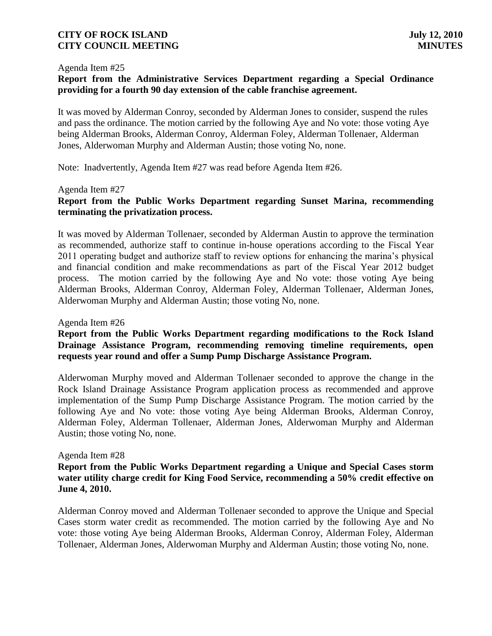#### Agenda Item #25

# **Report from the Administrative Services Department regarding a Special Ordinance providing for a fourth 90 day extension of the cable franchise agreement.**

It was moved by Alderman Conroy, seconded by Alderman Jones to consider, suspend the rules and pass the ordinance. The motion carried by the following Aye and No vote: those voting Aye being Alderman Brooks, Alderman Conroy, Alderman Foley, Alderman Tollenaer, Alderman Jones, Alderwoman Murphy and Alderman Austin; those voting No, none.

Note: Inadvertently, Agenda Item #27 was read before Agenda Item #26.

### Agenda Item #27

# **Report from the Public Works Department regarding Sunset Marina, recommending terminating the privatization process.**

It was moved by Alderman Tollenaer, seconded by Alderman Austin to approve the termination as recommended, authorize staff to continue in-house operations according to the Fiscal Year 2011 operating budget and authorize staff to review options for enhancing the marina's physical and financial condition and make recommendations as part of the Fiscal Year 2012 budget process. The motion carried by the following Aye and No vote: those voting Aye being Alderman Brooks, Alderman Conroy, Alderman Foley, Alderman Tollenaer, Alderman Jones, Alderwoman Murphy and Alderman Austin; those voting No, none.

#### Agenda Item #26

# **Report from the Public Works Department regarding modifications to the Rock Island Drainage Assistance Program, recommending removing timeline requirements, open requests year round and offer a Sump Pump Discharge Assistance Program.**

Alderwoman Murphy moved and Alderman Tollenaer seconded to approve the change in the Rock Island Drainage Assistance Program application process as recommended and approve implementation of the Sump Pump Discharge Assistance Program. The motion carried by the following Aye and No vote: those voting Aye being Alderman Brooks, Alderman Conroy, Alderman Foley, Alderman Tollenaer, Alderman Jones, Alderwoman Murphy and Alderman Austin; those voting No, none.

#### Agenda Item #28

# **Report from the Public Works Department regarding a Unique and Special Cases storm water utility charge credit for King Food Service, recommending a 50% credit effective on June 4, 2010.**

Alderman Conroy moved and Alderman Tollenaer seconded to approve the Unique and Special Cases storm water credit as recommended. The motion carried by the following Aye and No vote: those voting Aye being Alderman Brooks, Alderman Conroy, Alderman Foley, Alderman Tollenaer, Alderman Jones, Alderwoman Murphy and Alderman Austin; those voting No, none.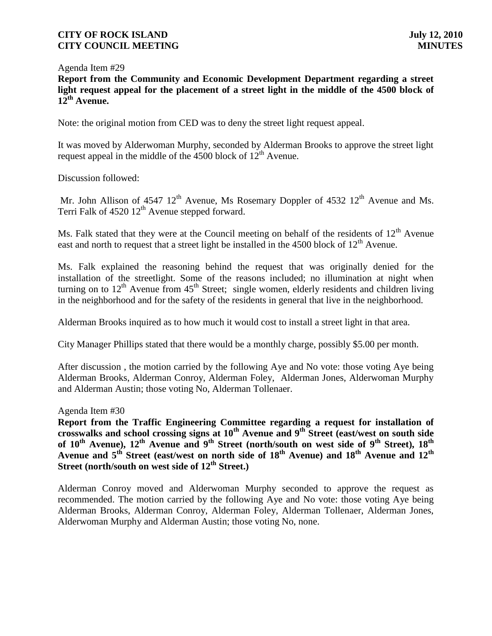Agenda Item #29

**Report from the Community and Economic Development Department regarding a street light request appeal for the placement of a street light in the middle of the 4500 block of 12th Avenue.**

Note: the original motion from CED was to deny the street light request appeal.

It was moved by Alderwoman Murphy, seconded by Alderman Brooks to approve the street light request appeal in the middle of the 4500 block of  $12<sup>th</sup>$  Avenue.

Discussion followed:

Mr. John Allison of  $4547 \frac{12^{th}}{h}$  Avenue, Ms Rosemary Doppler of  $4532 \frac{12^{th}}{h}$  Avenue and Ms. Terri Falk of  $4520 \frac{12^{\text{th}}}{}$  Avenue stepped forward.

Ms. Falk stated that they were at the Council meeting on behalf of the residents of  $12<sup>th</sup>$  Avenue east and north to request that a street light be installed in the 4500 block of  $12<sup>th</sup>$  Avenue.

Ms. Falk explained the reasoning behind the request that was originally denied for the installation of the streetlight. Some of the reasons included; no illumination at night when turning on to  $12<sup>th</sup>$  Avenue from  $45<sup>th</sup>$  Street; single women, elderly residents and children living in the neighborhood and for the safety of the residents in general that live in the neighborhood.

Alderman Brooks inquired as to how much it would cost to install a street light in that area.

City Manager Phillips stated that there would be a monthly charge, possibly \$5.00 per month.

After discussion , the motion carried by the following Aye and No vote: those voting Aye being Alderman Brooks, Alderman Conroy, Alderman Foley, Alderman Jones, Alderwoman Murphy and Alderman Austin; those voting No, Alderman Tollenaer.

Agenda Item #30

**Report from the Traffic Engineering Committee regarding a request for installation of crosswalks and school crossing signs at 10th Avenue and 9th Street (east/west on south side of 10th Avenue), 12th Avenue and 9th Street (north/south on west side of 9th Street), 18th Avenue and 5th Street (east/west on north side of 18th Avenue) and 18th Avenue and 12th Street (north/south on west side of 12th Street.)**

Alderman Conroy moved and Alderwoman Murphy seconded to approve the request as recommended. The motion carried by the following Aye and No vote: those voting Aye being Alderman Brooks, Alderman Conroy, Alderman Foley, Alderman Tollenaer, Alderman Jones, Alderwoman Murphy and Alderman Austin; those voting No, none.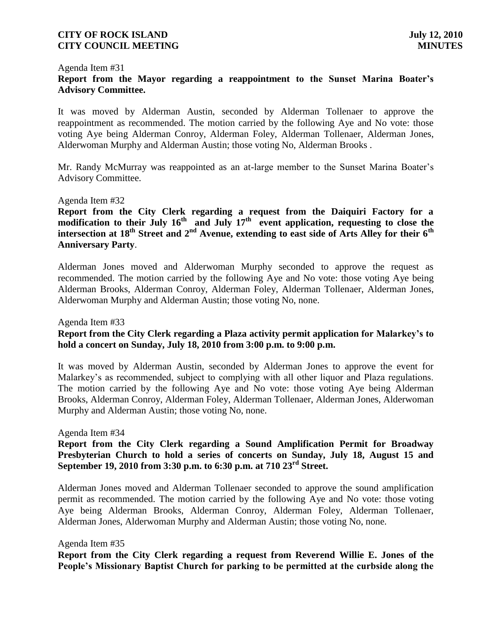#### Agenda Item #31

# **Report from the Mayor regarding a reappointment to the Sunset Marina Boater's Advisory Committee.**

It was moved by Alderman Austin, seconded by Alderman Tollenaer to approve the reappointment as recommended. The motion carried by the following Aye and No vote: those voting Aye being Alderman Conroy, Alderman Foley, Alderman Tollenaer, Alderman Jones, Alderwoman Murphy and Alderman Austin; those voting No, Alderman Brooks .

Mr. Randy McMurray was reappointed as an at-large member to the Sunset Marina Boater's Advisory Committee.

#### Agenda Item #32

**Report from the City Clerk regarding a request from the Daiquiri Factory for a modification to their July 16th and July 17th event application, requesting to close the intersection at 18th Street and 2nd Avenue, extending to east side of Arts Alley for their 6th Anniversary Party**.

Alderman Jones moved and Alderwoman Murphy seconded to approve the request as recommended. The motion carried by the following Aye and No vote: those voting Aye being Alderman Brooks, Alderman Conroy, Alderman Foley, Alderman Tollenaer, Alderman Jones, Alderwoman Murphy and Alderman Austin; those voting No, none.

Agenda Item #33

# **Report from the City Clerk regarding a Plaza activity permit application for Malarkey's to hold a concert on Sunday, July 18, 2010 from 3:00 p.m. to 9:00 p.m.**

It was moved by Alderman Austin, seconded by Alderman Jones to approve the event for Malarkey's as recommended, subject to complying with all other liquor and Plaza regulations. The motion carried by the following Aye and No vote: those voting Aye being Alderman Brooks, Alderman Conroy, Alderman Foley, Alderman Tollenaer, Alderman Jones, Alderwoman Murphy and Alderman Austin; those voting No, none.

Agenda Item #34

**Report from the City Clerk regarding a Sound Amplification Permit for Broadway Presbyterian Church to hold a series of concerts on Sunday, July 18, August 15 and September 19, 2010 from 3:30 p.m. to 6:30 p.m. at 710 23rd Street.**

Alderman Jones moved and Alderman Tollenaer seconded to approve the sound amplification permit as recommended. The motion carried by the following Aye and No vote: those voting Aye being Alderman Brooks, Alderman Conroy, Alderman Foley, Alderman Tollenaer, Alderman Jones, Alderwoman Murphy and Alderman Austin; those voting No, none.

#### Agenda Item #35

**Report from the City Clerk regarding a request from Reverend Willie E. Jones of the People's Missionary Baptist Church for parking to be permitted at the curbside along the**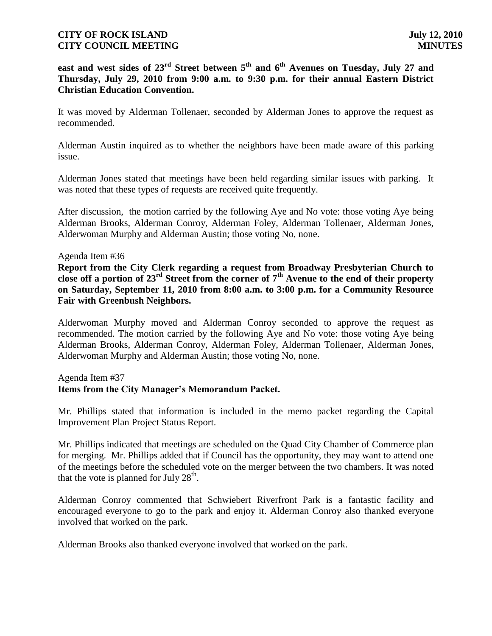**east and west sides of 23rd Street between 5th and 6th Avenues on Tuesday, July 27 and Thursday, July 29, 2010 from 9:00 a.m. to 9:30 p.m. for their annual Eastern District Christian Education Convention.**

It was moved by Alderman Tollenaer, seconded by Alderman Jones to approve the request as recommended.

Alderman Austin inquired as to whether the neighbors have been made aware of this parking issue.

Alderman Jones stated that meetings have been held regarding similar issues with parking. It was noted that these types of requests are received quite frequently.

After discussion, the motion carried by the following Aye and No vote: those voting Aye being Alderman Brooks, Alderman Conroy, Alderman Foley, Alderman Tollenaer, Alderman Jones, Alderwoman Murphy and Alderman Austin; those voting No, none.

### Agenda Item #36

**Report from the City Clerk regarding a request from Broadway Presbyterian Church to close off a portion of 23rd Street from the corner of 7th Avenue to the end of their property on Saturday, September 11, 2010 from 8:00 a.m. to 3:00 p.m. for a Community Resource Fair with Greenbush Neighbors.**

Alderwoman Murphy moved and Alderman Conroy seconded to approve the request as recommended. The motion carried by the following Aye and No vote: those voting Aye being Alderman Brooks, Alderman Conroy, Alderman Foley, Alderman Tollenaer, Alderman Jones, Alderwoman Murphy and Alderman Austin; those voting No, none.

# Agenda Item #37

# **Items from the City Manager's Memorandum Packet.**

Mr. Phillips stated that information is included in the memo packet regarding the Capital Improvement Plan Project Status Report.

Mr. Phillips indicated that meetings are scheduled on the Quad City Chamber of Commerce plan for merging. Mr. Phillips added that if Council has the opportunity, they may want to attend one of the meetings before the scheduled vote on the merger between the two chambers. It was noted that the vote is planned for July  $28<sup>th</sup>$ .

Alderman Conroy commented that Schwiebert Riverfront Park is a fantastic facility and encouraged everyone to go to the park and enjoy it. Alderman Conroy also thanked everyone involved that worked on the park.

Alderman Brooks also thanked everyone involved that worked on the park.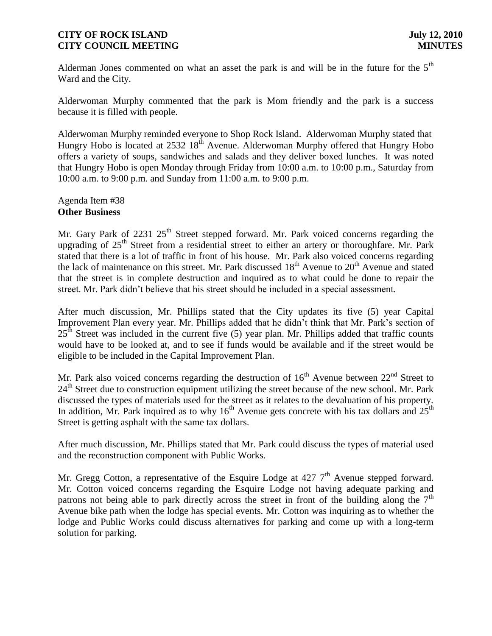Alderman Jones commented on what an asset the park is and will be in the future for the  $5<sup>th</sup>$ Ward and the City.

Alderwoman Murphy commented that the park is Mom friendly and the park is a success because it is filled with people.

Alderwoman Murphy reminded everyone to Shop Rock Island. Alderwoman Murphy stated that Hungry Hobo is located at  $2532\,18^{th}$  Avenue. Alderwoman Murphy offered that Hungry Hobo offers a variety of soups, sandwiches and salads and they deliver boxed lunches. It was noted that Hungry Hobo is open Monday through Friday from 10:00 a.m. to 10:00 p.m., Saturday from 10:00 a.m. to 9:00 p.m. and Sunday from 11:00 a.m. to 9:00 p.m.

Agenda Item #38 **Other Business**

Mr. Gary Park of 2231  $25<sup>th</sup>$  Street stepped forward. Mr. Park voiced concerns regarding the upgrading of  $25<sup>th</sup>$  Street from a residential street to either an artery or thoroughfare. Mr. Park stated that there is a lot of traffic in front of his house. Mr. Park also voiced concerns regarding the lack of maintenance on this street. Mr. Park discussed  $18<sup>th</sup>$  Avenue to  $20<sup>th</sup>$  Avenue and stated that the street is in complete destruction and inquired as to what could be done to repair the street. Mr. Park didn't believe that his street should be included in a special assessment.

After much discussion, Mr. Phillips stated that the City updates its five (5) year Capital Improvement Plan every year. Mr. Phillips added that he didn't think that Mr. Park's section of  $25<sup>th</sup>$  Street was included in the current five (5) year plan. Mr. Phillips added that traffic counts would have to be looked at, and to see if funds would be available and if the street would be eligible to be included in the Capital Improvement Plan.

Mr. Park also voiced concerns regarding the destruction of  $16<sup>th</sup>$  Avenue between  $22<sup>nd</sup>$  Street to 24<sup>th</sup> Street due to construction equipment utilizing the street because of the new school. Mr. Park discussed the types of materials used for the street as it relates to the devaluation of his property. In addition, Mr. Park inquired as to why  $16<sup>th</sup>$  Avenue gets concrete with his tax dollars and  $25<sup>th</sup>$ Street is getting asphalt with the same tax dollars.

After much discussion, Mr. Phillips stated that Mr. Park could discuss the types of material used and the reconstruction component with Public Works.

Mr. Gregg Cotton, a representative of the Esquire Lodge at  $427$   $7<sup>th</sup>$  Avenue stepped forward. Mr. Cotton voiced concerns regarding the Esquire Lodge not having adequate parking and patrons not being able to park directly across the street in front of the building along the  $7<sup>th</sup>$ Avenue bike path when the lodge has special events. Mr. Cotton was inquiring as to whether the lodge and Public Works could discuss alternatives for parking and come up with a long-term solution for parking.